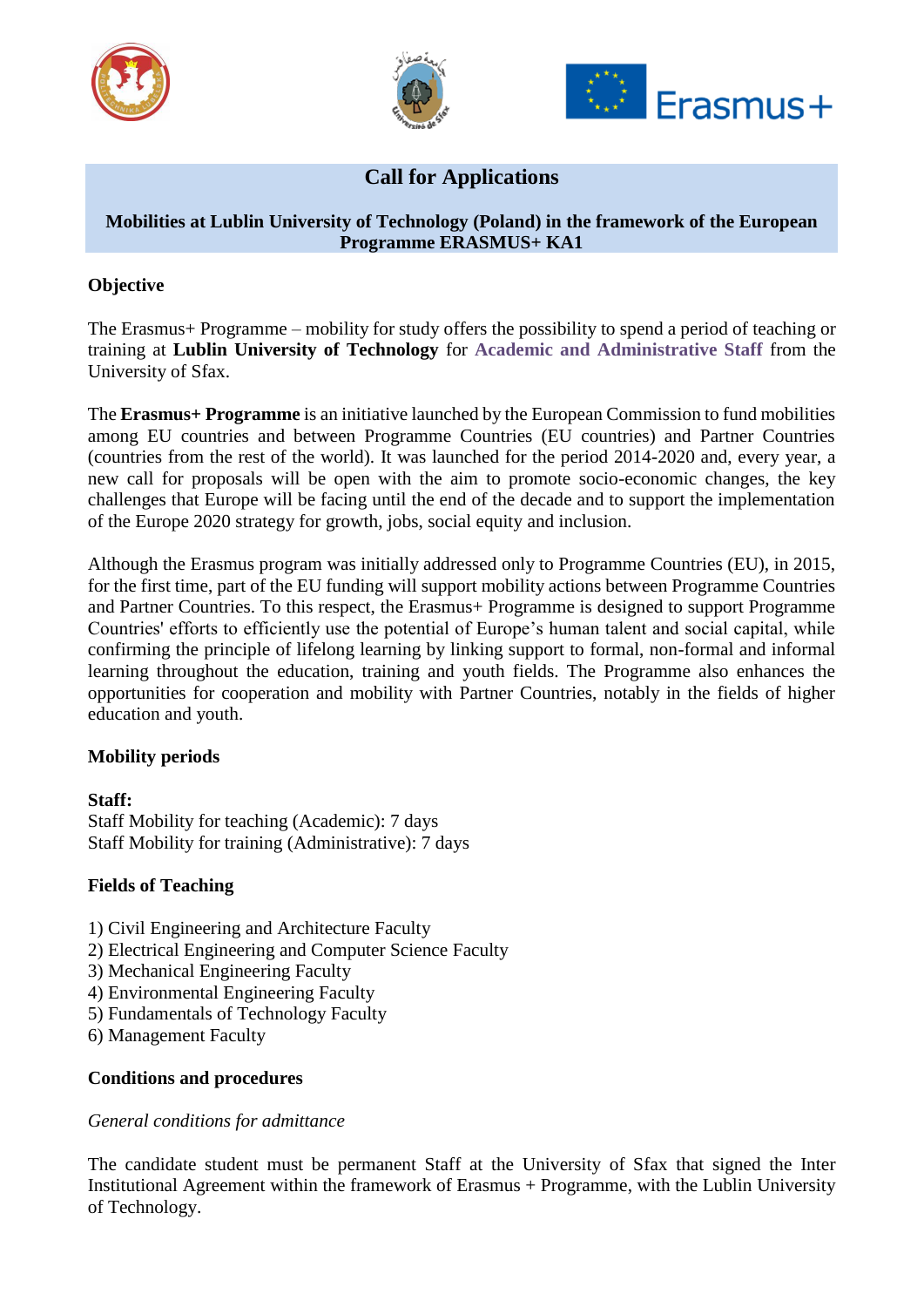





# **Call for Applications**

#### **Mobilities at Lublin University of Technology (Poland) in the framework of the European Programme ERASMUS+ KA1**

### **Objective**

The Erasmus+ Programme – mobility for study offers the possibility to spend a period of teaching or training at **Lublin University of Technology** for **Academic and Administrative Staff** from the University of Sfax.

The **Erasmus+ Programme** is an initiative launched by the European Commission to fund mobilities among EU countries and between Programme Countries (EU countries) and Partner Countries (countries from the rest of the world). It was launched for the period 2014-2020 and, every year, a new call for proposals will be open with the aim to promote socio-economic changes, the key challenges that Europe will be facing until the end of the decade and to support the implementation of the Europe 2020 strategy for growth, jobs, social equity and inclusion.

Although the Erasmus program was initially addressed only to Programme Countries (EU), in 2015, for the first time, part of the EU funding will support mobility actions between Programme Countries and Partner Countries. To this respect, the Erasmus+ Programme is designed to support Programme Countries' efforts to efficiently use the potential of Europe's human talent and social capital, while confirming the principle of lifelong learning by linking support to formal, non-formal and informal learning throughout the education, training and youth fields. The Programme also enhances the opportunities for cooperation and mobility with Partner Countries, notably in the fields of higher education and youth.

#### **Mobility periods**

## **Staff:**

Staff Mobility for teaching (Academic): 7 days Staff Mobility for training (Administrative): 7 days

## **Fields of Teaching**

- 1) Civil Engineering and Architecture Faculty
- 2) Electrical Engineering and Computer Science Faculty
- 3) Mechanical Engineering Faculty
- 4) Environmental Engineering Faculty
- 5) Fundamentals of Technology Faculty
- 6) Management Faculty

#### **Conditions and procedures**

#### *General conditions for admittance*

The candidate student must be permanent Staff at the University of Sfax that signed the Inter Institutional Agreement within the framework of Erasmus + Programme, with the Lublin University of Technology.